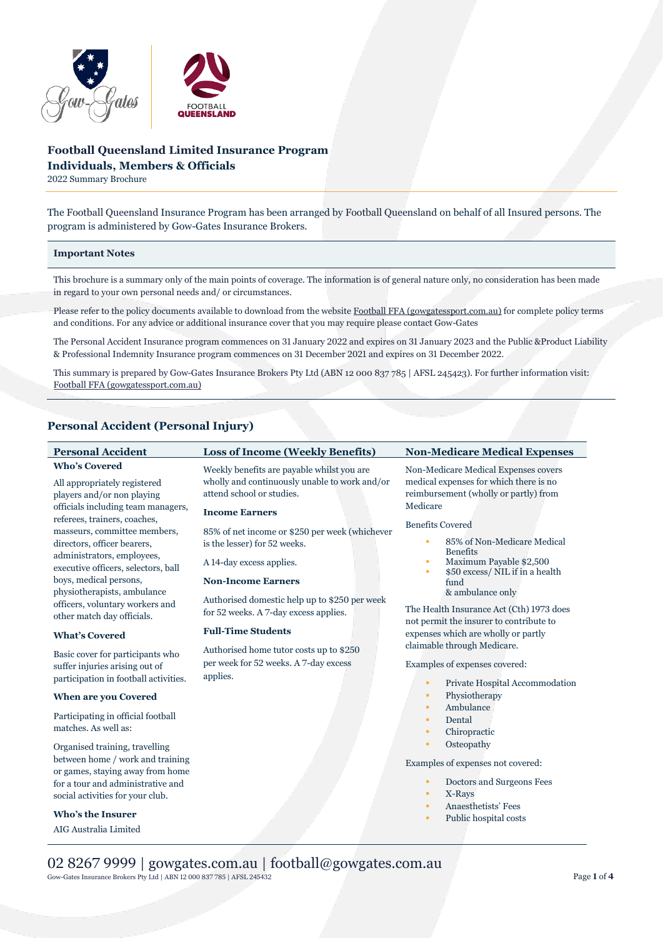

# **Football Queensland Limited Insurance Program Individuals, Members & Officials**

2022 Summary Brochure

The Football Queensland Insurance Program has been arranged by Football Queensland on behalf of all Insured persons. The program is administered by Gow-Gates Insurance Brokers.

# **Important Notes**

This brochure is a summary only of the main points of coverage. The information is of general nature only, no consideration has been made in regard to your own personal needs and/ or circumstances.

Please refer to the policy documents available to download from the websit[e Football FFA \(gowgatessport.com.au\)](https://football.gowgatessport.com.au/) for complete policy terms and conditions. For any advice or additional insurance cover that you may require please contact Gow-Gates

The Personal Accident Insurance program commences on 31 January 2022 and expires on 31 January 2023 and the Public &Product Liability & Professional Indemnity Insurance program commences on 31 December 2021 and expires on 31 December 2022.

This summary is prepared by Gow-Gates Insurance Brokers Pty Ltd (ABN 12 000 837 785 | AFSL 245423). For further information visit: [Football FFA \(gowgatessport.com.au\)](https://football.gowgatessport.com.au/)

# **Personal Accident (Personal Injury)**

| <b>Personal Accident</b>                                                                                                                                                                                                                              | <b>Loss of Income (Weekly Benefits)</b>                                                                                                           | <b>Non-Medicare Medical Expenses</b>                                                                                                                                                                                  |
|-------------------------------------------------------------------------------------------------------------------------------------------------------------------------------------------------------------------------------------------------------|---------------------------------------------------------------------------------------------------------------------------------------------------|-----------------------------------------------------------------------------------------------------------------------------------------------------------------------------------------------------------------------|
| <b>Who's Covered</b><br>All appropriately registered<br>players and/or non playing<br>officials including team managers,<br>referees, trainers, coaches,<br>masseurs, committee members,<br>directors, officer bearers,<br>administrators, employees, | Weekly benefits are payable whilst you are<br>wholly and continuously unable to work and/or<br>attend school or studies.<br><b>Income Earners</b> | Non-Medicare Medical Expenses covers<br>medical expenses for which there is no<br>reimbursement (wholly or partly) from<br>Medicare<br><b>Benefits Covered</b><br>85% of Non-Medicare Medical<br>٠<br><b>Benefits</b> |
|                                                                                                                                                                                                                                                       | 85% of net income or \$250 per week (whichever<br>is the lesser) for 52 weeks.                                                                    |                                                                                                                                                                                                                       |
| executive officers, selectors, ball<br>boys, medical persons,<br>physiotherapists, ambulance                                                                                                                                                          | A 14-day excess applies.<br><b>Non-Income Earners</b>                                                                                             | Maximum Payable \$2,500<br>\$50 excess/ NIL if in a health<br>fund<br>& ambulance only                                                                                                                                |
| officers, voluntary workers and<br>other match day officials.                                                                                                                                                                                         | Authorised domestic help up to \$250 per week<br>for 52 weeks. A 7-day excess applies.                                                            | The Health Insurance Act (Cth) 1973 does<br>not permit the insurer to contribute to                                                                                                                                   |
| <b>What's Covered</b>                                                                                                                                                                                                                                 | <b>Full-Time Students</b>                                                                                                                         | expenses which are wholly or partly                                                                                                                                                                                   |
| Basic cover for participants who<br>suffer injuries arising out of<br>participation in football activities.                                                                                                                                           | Authorised home tutor costs up to \$250<br>per week for 52 weeks. A 7-day excess<br>applies.                                                      | claimable through Medicare.<br>Examples of expenses covered:<br>Private Hospital Accommodation<br>٠                                                                                                                   |
| <b>When are you Covered</b>                                                                                                                                                                                                                           |                                                                                                                                                   | Physiotherapy<br>٠                                                                                                                                                                                                    |
| Participating in official football<br>matches. As well as:                                                                                                                                                                                            |                                                                                                                                                   | Ambulance<br>٠<br>Dental<br>٠<br>Chiropractic<br>٠                                                                                                                                                                    |
| Organised training, travelling<br>between home / work and training<br>or games, staying away from home<br>for a tour and administrative and<br>social activities for your club.                                                                       |                                                                                                                                                   | Osteopathy<br>٠<br>Examples of expenses not covered:<br>Doctors and Surgeons Fees<br>٠<br>X-Rays<br>٠<br>Anaesthetists' Fees                                                                                          |
| <b>Who's the Insurer</b>                                                                                                                                                                                                                              |                                                                                                                                                   | ٠<br>Public hospital costs                                                                                                                                                                                            |
| AIG Australia Limited                                                                                                                                                                                                                                 |                                                                                                                                                   |                                                                                                                                                                                                                       |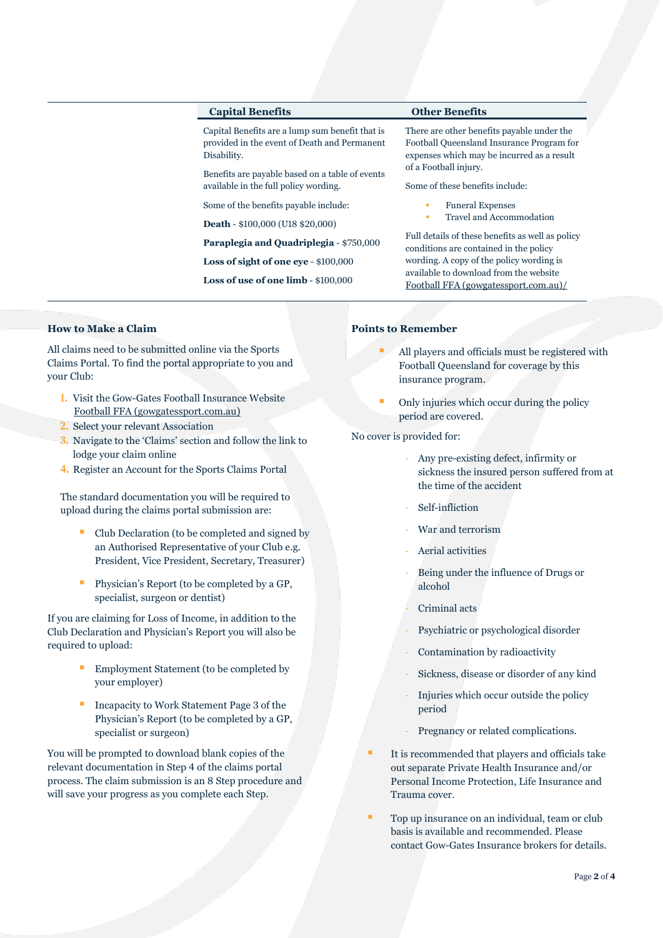# **Capital Benefits Other Benefits**

Capital Benefits are a lump sum benefit that is provided in the event of Death and Permanent Disability.

Benefits are payable based on a table of events available in the full policy wording.

Some of the benefits payable include:

**Death** - \$100,000 (U18 \$20,000)

**Paraplegia and Quadriplegia** - \$750,000

**Loss of sight of one eye** - \$100,000

**Loss of use of one limb** - \$100,000

There are other benefits payable under the Football Queensland Insurance Program for expenses which may be incurred as a result of a Football injury.

Some of these benefits include:

- **Funeral Expenses**
- Travel and Accommodation

Full details of these benefits as well as policy conditions are contained in the policy wording. A copy of the policy wording is available to download from the website [Football FFA \(gowgatessport.com.au\)/](https://football.gowgatessport.com.au/)

# **How to Make a Claim**

All claims need to be submitted online via the Sports Claims Portal. To find the portal appropriate to you and your Club:

- **1.** Visit the Gow-Gates Football Insurance Website [Football FFA \(gowgatessport.com.au\)](https://football.gowgatessport.com.au/)
- **2.** Select your relevant Association
- **3.** Navigate to the 'Claims' section and follow the link to lodge your claim online
- **4.** Register an Account for the Sports Claims Portal

The standard documentation you will be required to upload during the claims portal submission are:

- Club Declaration (to be completed and signed by an Authorised Representative of your Club e.g. President, Vice President, Secretary, Treasurer)
- Physician's Report (to be completed by a GP, specialist, surgeon or dentist)

If you are claiming for Loss of Income, in addition to the Club Declaration and Physician's Report you will also be required to upload:

- Employment Statement (to be completed by your employer)
- Incapacity to Work Statement Page 3 of the Physician's Report (to be completed by a GP, specialist or surgeon)

You will be prompted to download blank copies of the relevant documentation in Step 4 of the claims portal process. The claim submission is an 8 Step procedure and will save your progress as you complete each Step.

## **Points to Remember**

- All players and officials must be registered with Football Queensland for coverage by this insurance program.
- Only injuries which occur during the policy period are covered.

No cover is provided for:

- Any pre-existing defect, infirmity or sickness the insured person suffered from at the time of the accident
- Self-infliction
- War and terrorism
- Aerial activities
- Being under the influence of Drugs or alcohol
- Criminal acts
- Psychiatric or psychological disorder
- Contamination by radioactivity
- Sickness, disease or disorder of any kind
- Injuries which occur outside the policy period
- Pregnancy or related complications.
- It is recommended that players and officials take out separate Private Health Insurance and/or Personal Income Protection, Life Insurance and Trauma cover.
- Top up insurance on an individual, team or club basis is available and recommended. Please contact Gow-Gates Insurance brokers for details.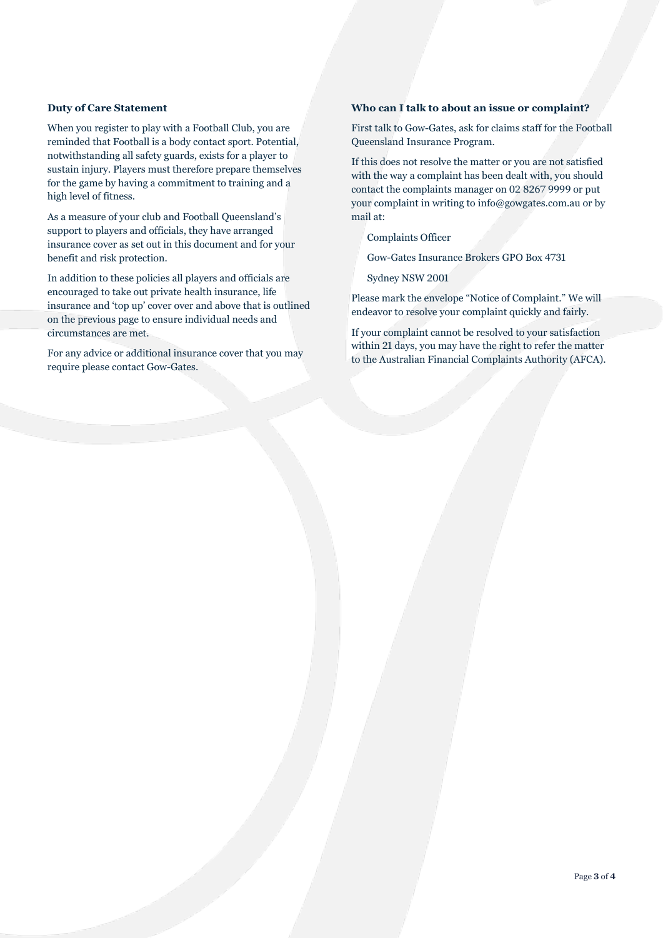# **Duty of Care Statement**

When you register to play with a Football Club, you are reminded that Football is a body contact sport. Potential, notwithstanding all safety guards, exists for a player to sustain injury. Players must therefore prepare themselves for the game by having a commitment to training and a high level of fitness.

As a measure of your club and Football Queensland's support to players and officials, they have arranged insurance cover as set out in this document and for your benefit and risk protection.

In addition to these policies all players and officials are encouraged to take out private health insurance, life insurance and 'top up' cover over and above that is outlined on the previous page to ensure individual needs and circumstances are met.

For any advice or additional insurance cover that you may require please contact Gow-Gates.

# **Who can I talk to about an issue or complaint?**

First talk to Gow-Gates, ask for claims staff for the Football Queensland Insurance Program.

If this does not resolve the matter or you are not satisfied with the way a complaint has been dealt with, you should contact the complaints manager on 02 8267 9999 or put your complaint in writing to info@gowgates.com.au or by mail at:

Complaints Officer

Gow-Gates Insurance Brokers GPO Box 4731

Sydney NSW 2001

Please mark the envelope "Notice of Complaint." We will endeavor to resolve your complaint quickly and fairly.

If your complaint cannot be resolved to your satisfaction within 21 days, you may have the right to refer the matter to the Australian Financial Complaints Authority (AFCA).